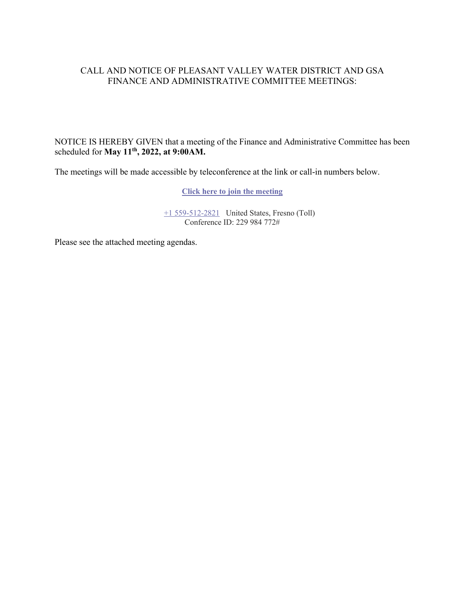### CALL AND NOTICE OF PLEASANT VALLEY WATER DISTRICT AND GSA FINANCE AND ADMINISTRATIVE COMMITTEE MEETINGS:

NOTICE IS HEREBY GIVEN that a meeting of the Finance and Administrative Committee has been scheduled for **May 11th, 2022, at 9:00AM.**

The meetings will be made accessible by teleconference at the link or call-in numbers below.

**[Click here to join the meeting](https://teams.microsoft.com/l/meetup-join/19%3ameeting_ZGY3YzE1YTktODJiMi00YzZkLWFjM2YtYjZkOTI3YTY3MzIy%40thread.v2/0?context=%7b%22Tid%22%3a%22a6cf659f-2360-4ff9-9e8d-045f48434ada%22%2c%22Oid%22%3a%225aeb912a-1b48-4d0b-94f5-be7893f4a09c%22%7d)**

[+1 559-512-2821](tel:+15595122821,,229984772#%20) United States, Fresno (Toll) Conference ID: 229 984 772#

Please see the attached meeting agendas.